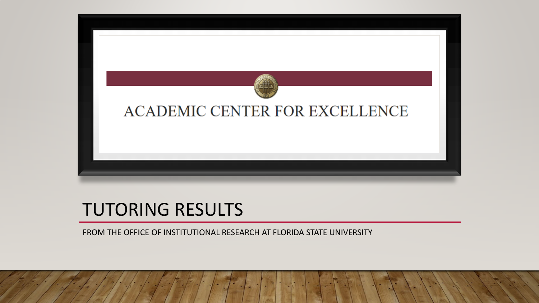

#### TUTORING RESULTS

FROM THE OFFICE OF INSTITUTIONAL RESEARCH AT FLORIDA STATE UNIVERSITY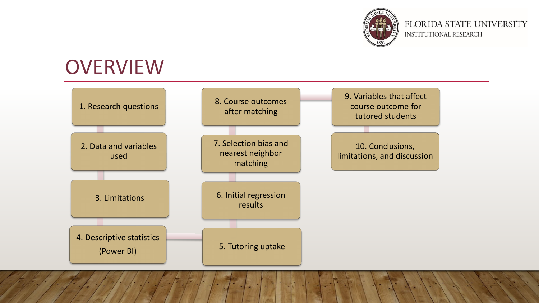

#### **OVERVIEW**

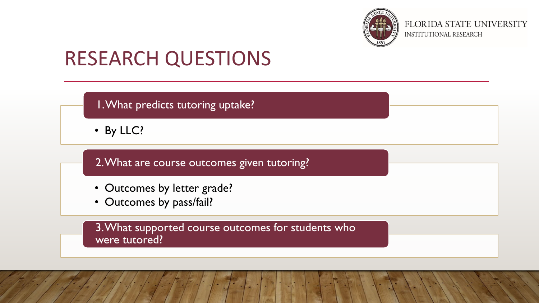

## RESEARCH QUESTIONS

1. What predicts tutoring uptake?

• By LLC?

2. What are course outcomes given tutoring?

- Outcomes by letter grade?
- Outcomes by pass/fail?

3. What supported course outcomes for students who were tutored?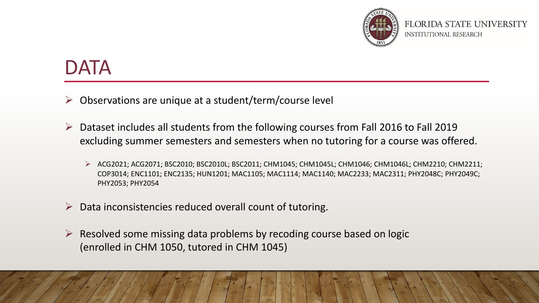

#### DATA

- $\triangleright$  Observations are unique at a student/term/course level
- $\triangleright$  Dataset includes all students from the following courses from Fall 2016 to Fall 2019 excluding summer semesters and semesters when no tutoring for a course was offered.
	- ACG2021; ACG2071; BSC2010; BSC2010L; BSC2011; CHM1045; CHM1045L; CHM1046; CHM1046L; CHM2210; CHM2211; COP3014; ENC1101; ENC2135; HUN1201; MAC1105; MAC1114; MAC1140; MAC2233; MAC2311; PHY2048C; PHY2049C; PHY2053; PHY2054
- $\triangleright$  Data inconsistencies reduced overall count of tutoring.
- $\triangleright$  Resolved some missing data problems by recoding course based on logic (enrolled in CHM 1050, tutored in CHM 1045)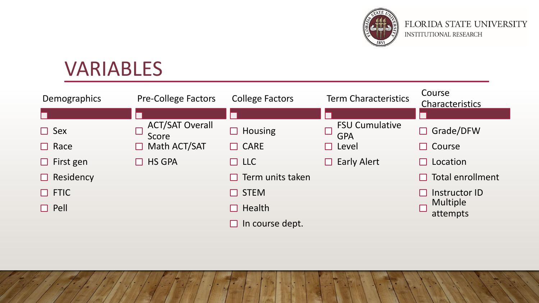

# VARIABLES

| <b>Demographics</b> | <b>Pre-College Factors</b>      | <b>College Factors</b>      | <b>Term Characteristics</b>         | Course<br>Characteristics   |
|---------------------|---------------------------------|-----------------------------|-------------------------------------|-----------------------------|
|                     |                                 |                             |                                     |                             |
| $\Box$ Sex          | <b>ACT/SAT Overall</b><br>Score | <b>Housing</b>              | <b>FSU Cumulative</b><br><b>GPA</b> | Grade/DFW                   |
| $\Box$ Race         | Math ACT/SAT                    | $\Box$ CARE                 | Level                               | Course<br>$\blacksquare$    |
| $\Box$ First gen    | <b>HS GPA</b>                   | $\Box$ LLC                  | <b>Early Alert</b><br>H             | Location                    |
| Residency<br>$\Box$ |                                 | Term units taken            |                                     | Total enrollment            |
| $\Box$ FTIC         |                                 | <b>STEM</b><br>$\mathbf{I}$ |                                     | Instructor ID               |
| $\Box$ Pell         |                                 | Health                      |                                     | <b>Multiple</b><br>attempts |
|                     |                                 | In course dept.             |                                     |                             |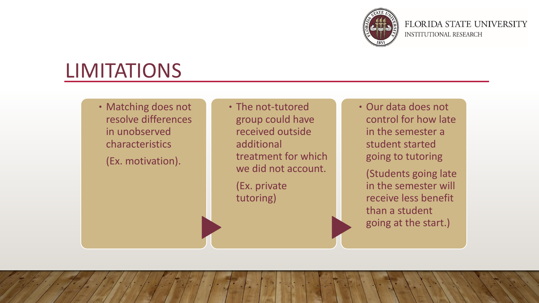

## LIMITATIONS

. Matching does not resolve differences in unobserved characteristics (Ex. motivation).

. The not-tutored group could have received outside additional treatment for which we did not account.

(Ex. private tutoring)

. Our data does not control for how late in the semester a student started going to tutoring

(Students going late in the semester will receive less benefit than a student going at the start.)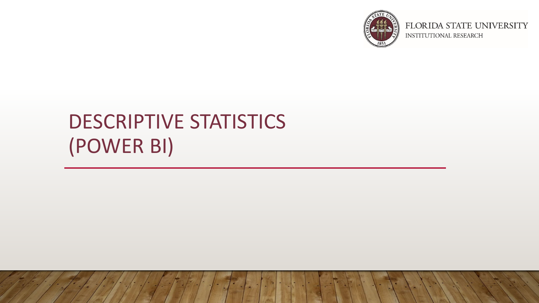

# DESCRIPTIVE STATISTICS (POWER BI)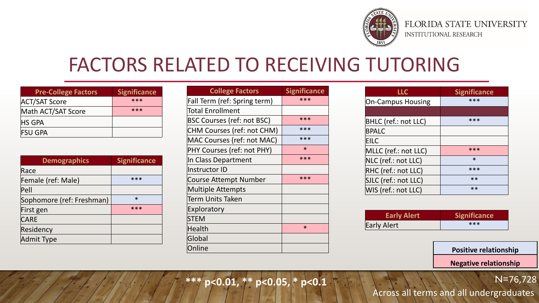

#### FACTORS RELATED TO RECEIVING TUTORING

| <b>Pre-College Factors</b> | <b>Significance</b> |
|----------------------------|---------------------|
| <b>ACT/SAT Score</b>       | $***$               |
| Math ACT/SAT Score         | $***$               |
| <b>HS GPA</b>              |                     |
| <b>FSU GPA</b>             |                     |

| <b>Demographics</b>       | <b>Significance</b> |
|---------------------------|---------------------|
| Race                      |                     |
| Female (ref: Male)        | ***                 |
| $ $ Pell                  |                     |
| Sophomore (ref: Freshman) | $\ast$              |
| First gen                 | ***                 |
| <b>CARE</b>               |                     |
| Residency                 |                     |
| Admit Type                |                     |

| <b>College Factors</b>            | <b>Significance</b> |
|-----------------------------------|---------------------|
| Fall Term (ref: Spring term)      | ***                 |
| Total Enrollment                  |                     |
| <b>BSC Courses (ref: not BSC)</b> | ***                 |
| CHM Courses (ref: not CHM)        | ***                 |
| MAC Courses (ref: not MAC)        | ***                 |
| PHY Courses (ref: not PHY)        | $\ast$              |
| In Class Department               | ***                 |
| Instructor ID                     |                     |
| Course Attempt Number             | ***                 |
| <b>Multiple Attempts</b>          |                     |
| Term Units Taken                  |                     |
| <b>Exploratory</b>                |                     |
| <b>STEM</b>                       |                     |
| Health                            | $\ast$              |
| Global                            |                     |
| Online                            |                     |

| LLC                      | <b>Significance</b> |
|--------------------------|---------------------|
| <b>On-Campus Housing</b> | ***                 |
|                          |                     |
| BHLC (ref.: not LLC)     | ***                 |
| <b>BPALC</b>             |                     |
| <b>EILC</b>              |                     |
| MLLC (ref.: not LLC)     | ***                 |
| NLC (ref.: not LLC)      | $\ast$              |
| RHC (ref.: not LLC)      | ***                 |
| SJLC (ref.: not LLC)     | $**$                |
| WIS (ref.: not LLC)      | $**$                |

| <b>Early Alert</b> | <b>Significance</b> |
|--------------------|---------------------|
| Early Alert        | $***$               |

**Positive relationship**

**Negative relationship**

N=76,728

**\*\*\* p<0.01, \*\* p<0.05, \* p<0.1**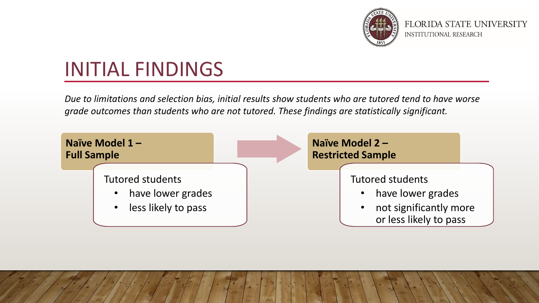

# INITIAL FINDINGS

*Due to limitations and selection bias, initial results show students who are tutored tend to have worse grade outcomes than students who are not tutored. These findings are statistically significant.* 

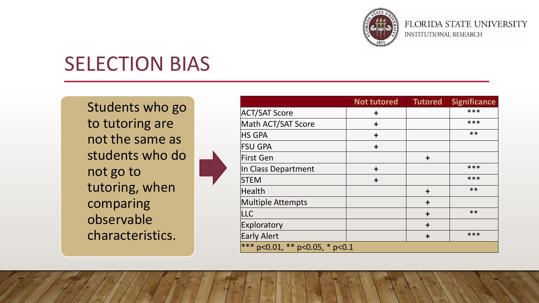

## SELECTION BIAS

Students who go to tutoring are not the same as students who do not go to tutoring, when comparing observable characteristics.

|                                   | <b>Not tutored</b> | <b>Tutored</b> | <b>Significance</b> |
|-----------------------------------|--------------------|----------------|---------------------|
| <b>ACT/SAT Score</b>              | $\ddot{}$          |                | ***                 |
| Math ACT/SAT Score                | $\ddagger$         |                | ***                 |
| <b>HS GPA</b>                     | $\ddot{}$          |                | $***$               |
| <b>FSU GPA</b>                    | $\div$             |                |                     |
| First Gen                         |                    | $\ddagger$     |                     |
| In Class Department               | $\div$             |                | ***                 |
| <b>STEM</b>                       | $\ddagger$         |                | ***                 |
| Health                            |                    | $\ddagger$     | $***$               |
| <b>Multiple Attempts</b>          |                    | $\div$         |                     |
| LLC                               |                    | $\ddagger$     | $**$                |
| Exploratory                       |                    | $\div$         |                     |
| <b>Early Alert</b>                |                    | $\div$         | ***                 |
| p<0.01, ** p<0.05, * p<0.1<br>*** |                    |                |                     |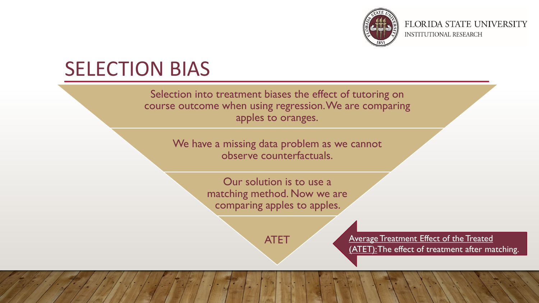

## SELECTION BIAS

Selection into treatment biases the effect of tutoring on course outcome when using regression. We are comparing apples to oranges.

> We have a missing data problem as we cannot observe counterfactuals.

> > Our solution is to use a matching method. Now we are comparing apples to apples.

ATET Average Treatment Effect of the Treated (ATET): The effect of treatment after matching.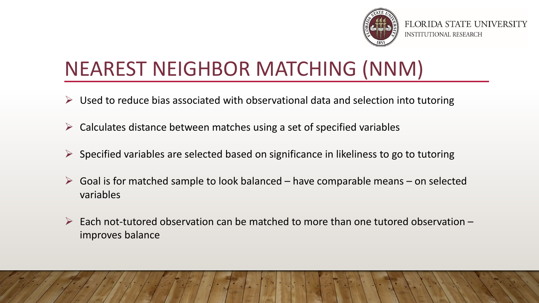

# NEAREST NEIGHBOR MATCHING (NNM)

- $\triangleright$  Used to reduce bias associated with observational data and selection into tutoring
- $\triangleright$  Calculates distance between matches using a set of specified variables
- $\triangleright$  Specified variables are selected based on significance in likeliness to go to tutoring
- $\triangleright$  Goal is for matched sample to look balanced have comparable means on selected variables
- $\triangleright$  Each not-tutored observation can be matched to more than one tutored observation improves balance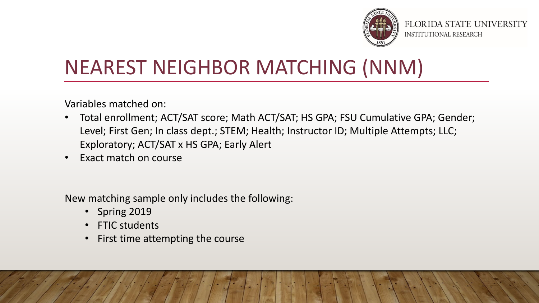

# NEAREST NEIGHBOR MATCHING (NNM)

Variables matched on:

- Total enrollment; ACT/SAT score; Math ACT/SAT; HS GPA; FSU Cumulative GPA; Gender; Level; First Gen; In class dept.; STEM; Health; Instructor ID; Multiple Attempts; LLC; Exploratory; ACT/SAT x HS GPA; Early Alert
- Exact match on course

New matching sample only includes the following:

- Spring 2019
- FTIC students
- First time attempting the course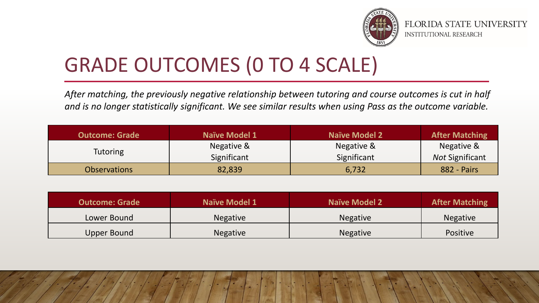

# GRADE OUTCOMES (0 TO 4 SCALE)

*After matching, the previously negative relationship between tutoring and course outcomes is cut in half and is no longer statistically significant. We see similar results when using Pass as the outcome variable.* 

| <b>Outcome: Grade</b> | Naïve Model 1 | <b>Naïve Model 2</b> | <b>After Matching</b>  |
|-----------------------|---------------|----------------------|------------------------|
| Tutoring              | Negative &    | Negative &           | Negative &             |
|                       | Significant   | Significant          | <b>Not Significant</b> |
| <b>Observations</b>   | 82,839        | 6,732                | 882 - Pairs            |

| <b>Outcome: Grade</b> | <b>Naïve Model 1</b> | <b>Naïve Model 2</b> | <b>After Matching</b> |
|-----------------------|----------------------|----------------------|-----------------------|
| Lower Bound           | <b>Negative</b>      | <b>Negative</b>      | <b>Negative</b>       |
| Upper Bound           | <b>Negative</b>      | <b>Negative</b>      | <b>Positive</b>       |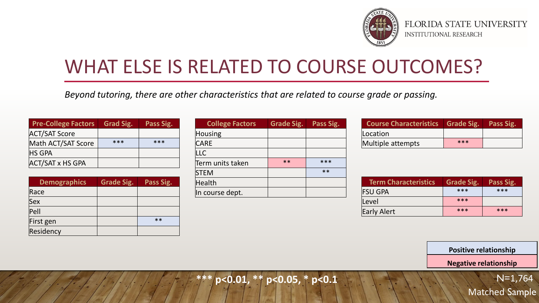

#### WHAT ELSE IS RELATED TO COURSE OUTCOMES?

*Beyond tutoring, there are other characteristics that are related to course grade or passing.*

| <b>Pre-College Factors</b> | <b>Grad Sig.</b> | Pass Sig. |
|----------------------------|------------------|-----------|
| <b>ACT/SAT Score</b>       |                  |           |
| Math ACT/SAT Score         | ***              | $***$     |
| <b>HS GPA</b>              |                  |           |
| <b>ACT/SAT x HS GPA</b>    |                  |           |

| <b>Demographics</b> | <b>Grade Sig.</b> | Pass Sig. |
|---------------------|-------------------|-----------|
| Race                |                   |           |
| Sex                 |                   |           |
| Pell                |                   |           |
| First gen           |                   | $**$      |
| Residency           |                   |           |

| <b>College Factors</b> | <b>Grade Sig.</b> | <b>Pass Sig.</b> |
|------------------------|-------------------|------------------|
| Housing                |                   |                  |
| <b>CARE</b>            |                   |                  |
| LLC                    |                   |                  |
| Term units taken       | $**$              | ***              |
| <b>STEM</b>            |                   | $**$             |
| Health                 |                   |                  |
| In course dept.        |                   |                  |

| Course Characteristics   Grade Sig.   Pass Sig. |       |  |
|-------------------------------------------------|-------|--|
| Location                                        |       |  |
| Multiple attempts                               | $***$ |  |

| <b>Term Characteristics</b> | Grade Sig. | Pass Sig. |
|-----------------------------|------------|-----------|
| <b>FSU GPA</b>              | $***$      | $***$     |
| Level                       | $***$      |           |
| Early Alert                 | $***$      | $***$     |

**Positive relationship**

**Negative relationship**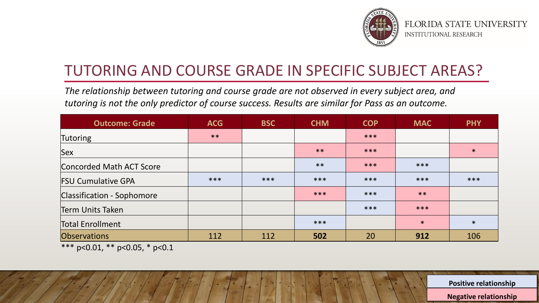

#### TUTORING AND COURSE GRADE IN SPECIFIC SUBJECT AREAS?

*The relationship between tutoring and course grade are not observed in every subject area, and tutoring is not the only predictor of course success. Results are similar for Pass as an outcome.* 

| <b>Outcome: Grade</b>      | <b>ACG</b> | <b>BSC</b> | <b>CHM</b> | <b>COP</b> | <b>MAC</b> | <b>PHY</b> |
|----------------------------|------------|------------|------------|------------|------------|------------|
| Tutoring                   | $***$      |            |            | ***        |            |            |
| Sex                        |            |            | $***$      | ***        |            | $\ast$     |
| Concorded Math ACT Score   |            |            | $***$      | ***        | ***        |            |
| <b>FSU Cumulative GPA</b>  | ***        | ***        | ***        | ***        | ***        | ***        |
| Classification - Sophomore |            |            | ***        | ***        | $***$      |            |
| Term Units Taken           |            |            |            | ***        | ***        |            |
| <b>Total Enrollment</b>    |            |            | ***        |            | $\ast$     | $\ast$     |
| Observations               | 112        | 112        | 502        | 20         | 912        | 106        |

\*\*\* p<0.01, \*\* p<0.05, \* p<0.1

**Positive relationship**

**Negative relationship**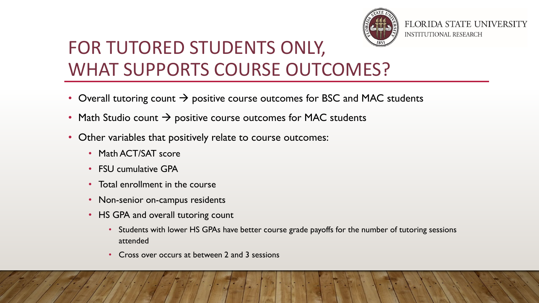

#### FOR TUTORED STUDENTS ONLY, WHAT SUPPORTS COURSE OUTCOMES?

- Overall tutoring count  $\rightarrow$  positive course outcomes for BSC and MAC students
- Math Studio count  $\rightarrow$  positive course outcomes for MAC students
- Other variables that positively relate to course outcomes:
	- Math ACT/SAT score
	- FSU cumulative GPA
	- Total enrollment in the course
	- Non-senior on-campus residents
	- HS GPA and overall tutoring count
		- Students with lower HS GPAs have better course grade payoffs for the number of tutoring sessions attended
		- Cross over occurs at between 2 and 3 sessions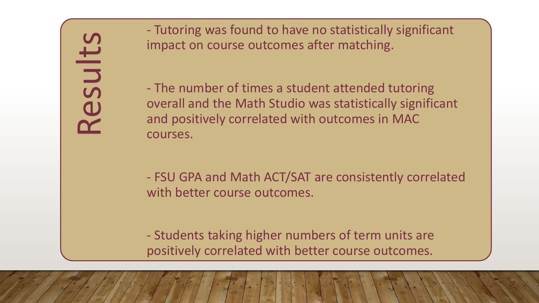- Tutoring was found to have no statistically significant impact on course outcomes after matching.

- The number of times a student attended tutoring overall and the Math Studio was statistically significant and positively correlated with outcomes in MAC courses.

- FSU GPA and Math ACT/SAT are consistently correlated with better course outcomes.

- Students taking higher numbers of term units are positively correlated with better course outcomes.